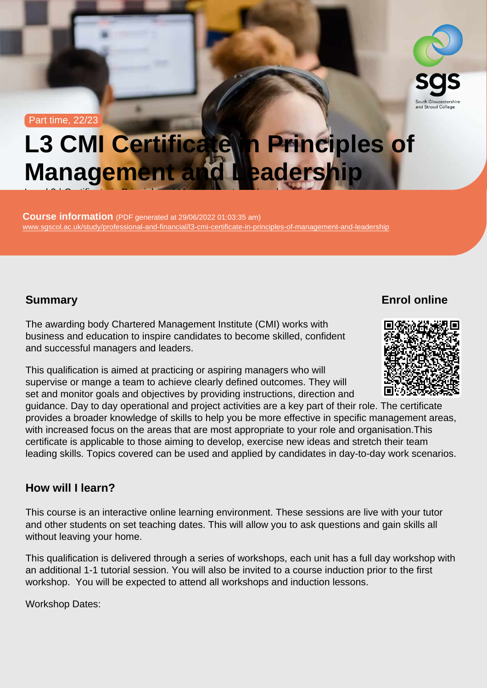#### Part time, 22/23

# L3 CMI Certificate in Principles of Management and Leadership

Course information (PDF generated at 29/06/2022 01:03:35 am) [www.sgscol.ac.uk/study/professional-and-financial/l3-cmi-certificate-in-principles-of-management-and-leadership](https://www.sgscol.ac.uk/study/professional-and-financial/l3-cmi-certificate-in-principles-of-management-and-leadership)

Level 3 | Certificate in Principles of Management and Leadership  $\mathcal{L}$ 

## Summary

Enrol online

The awarding body Chartered Management Institute (CMI) works with business and education to inspire candidates to become skilled, confident and successful managers and leaders.

This qualification is aimed at practicing or aspiring managers who will supervise or mange a team to achieve clearly defined outcomes. They will set and monitor goals and objectives by providing instructions, direction and guidance. Day to day operational and project activities are a key part of their role. The certificate provides a broader knowledge of skills to help you be more effective in specific management areas, with increased focus on the areas that are most appropriate to your role and organisation.This certificate is applicable to those aiming to develop, exercise new ideas and stretch their team leading skills. Topics covered can be used and applied by candidates in day-to-day work scenarios.

### How will I learn?

This course is an interactive online learning environment. These sessions are live with your tutor and other students on set teaching dates. This will allow you to ask questions and gain skills all without leaving your home.

This qualification is delivered through a series of workshops, each unit has a full day workshop with an additional 1-1 tutorial session. You will also be invited to a course induction prior to the first workshop. You will be expected to attend all workshops and induction lessons.

Workshop Dates: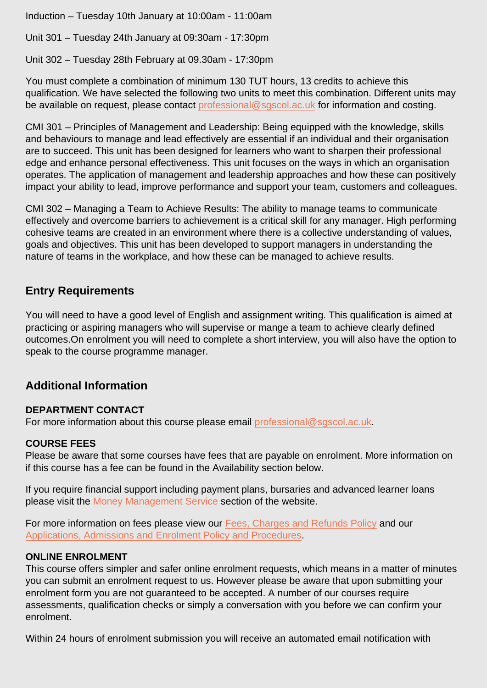Induction – Tuesday 10th January at 10:00am - 11:00am

Unit 301 – Tuesday 24th January at 09:30am - 17:30pm

Unit 302 – Tuesday 28th February at 09.30am - 17:30pm

You must complete a combination of minimum 130 TUT hours, 13 credits to achieve this qualification. We have selected the following two units to meet this combination. Different units may be available on request, please contact [professional@sgscol.ac.uk](mailto:professional@sgscol.ac.uk) for information and costing.

CMI 301 – Principles of Management and Leadership: Being equipped with the knowledge, skills and behaviours to manage and lead effectively are essential if an individual and their organisation are to succeed. This unit has been designed for learners who want to sharpen their professional edge and enhance personal effectiveness. This unit focuses on the ways in which an organisation operates. The application of management and leadership approaches and how these can positively impact your ability to lead, improve performance and support your team, customers and colleagues.

CMI 302 – Managing a Team to Achieve Results: The ability to manage teams to communicate effectively and overcome barriers to achievement is a critical skill for any manager. High performing cohesive teams are created in an environment where there is a collective understanding of values, goals and objectives. This unit has been developed to support managers in understanding the nature of teams in the workplace, and how these can be managed to achieve results.

## Entry Requirements

You will need to have a good level of English and assignment writing. This qualification is aimed at practicing or aspiring managers who will supervise or mange a team to achieve clearly defined outcomes.On enrolment you will need to complete a short interview, you will also have the option to speak to the course programme manager.

## Additional Information

## DEPARTMENT CONTACT

For more information about this course please email [professional@sgscol.ac.uk](mailto:professional@sgscol.ac.uk).

#### COURSE FEES

Please be aware that some courses have fees that are payable on enrolment. More information on if this course has a fee can be found in the Availability section below.

If you require financial support including payment plans, bursaries and advanced learner loans please visit the [Money Management Service](http://www.sgscol.ac.uk/mms) section of the website.

For more information on fees please view our [Fees, Charges and Refunds Policy](https://www.sgscol.ac.uk/policies) and our [Applications, Admissions and Enrolment Policy and Procedures.](https://www.sgscol.ac.uk/policies)

## ONLINE ENROLMENT

This course offers simpler and safer online enrolment requests, which means in a matter of minutes you can submit an enrolment request to us. However please be aware that upon submitting your enrolment form you are not guaranteed to be accepted. A number of our courses require assessments, qualification checks or simply a conversation with you before we can confirm your enrolment.

Within 24 hours of enrolment submission you will receive an automated email notification with